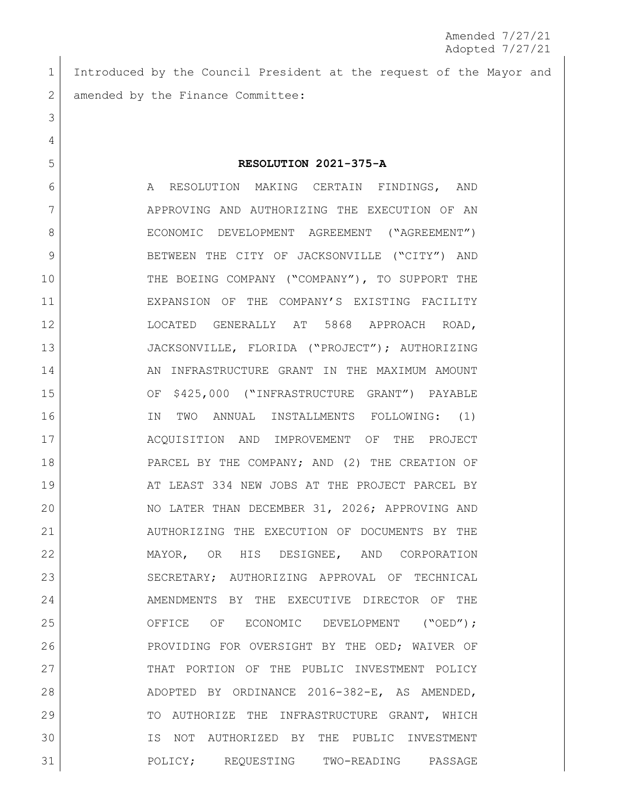Introduced by the Council President at the request of the Mayor and 2 amended by the Finance Committee:

## **RESOLUTION 2021-375-A**

6 A RESOLUTION MAKING CERTAIN FINDINGS, AND APPROVING AND AUTHORIZING THE EXECUTION OF AN 8 ECONOMIC DEVELOPMENT AGREEMENT ("AGREEMENT") BETWEEN THE CITY OF JACKSONVILLE ("CITY") AND THE BOEING COMPANY ("COMPANY"), TO SUPPORT THE EXPANSION OF THE COMPANY'S EXISTING FACILITY LOCATED GENERALLY AT 5868 APPROACH ROAD, JACKSONVILLE, FLORIDA ("PROJECT"); AUTHORIZING 14 AN INFRASTRUCTURE GRANT IN THE MAXIMUM AMOUNT OF \$425,000 ("INFRASTRUCTURE GRANT") PAYABLE IN TWO ANNUAL INSTALLMENTS FOLLOWING: (1) ACQUISITION AND IMPROVEMENT OF THE PROJECT 18 PARCEL BY THE COMPANY; AND (2) THE CREATION OF 19 AT LEAST 334 NEW JOBS AT THE PROJECT PARCEL BY NO LATER THAN DECEMBER 31, 2026; APPROVING AND AUTHORIZING THE EXECUTION OF DOCUMENTS BY THE MAYOR, OR HIS DESIGNEE, AND CORPORATION 23 SECRETARY; AUTHORIZING APPROVAL OF TECHNICAL 24 AMENDMENTS BY THE EXECUTIVE DIRECTOR OF THE 25 OFFICE OF ECONOMIC DEVELOPMENT ("OED"); PROVIDING FOR OVERSIGHT BY THE OED; WAIVER OF 27 THAT PORTION OF THE PUBLIC INVESTMENT POLICY ADOPTED BY ORDINANCE 2016-382-E, AS AMENDED, 29 TO AUTHORIZE THE INFRASTRUCTURE GRANT, WHICH IS NOT AUTHORIZED BY THE PUBLIC INVESTMENT POLICY; REQUESTING TWO-READING PASSAGE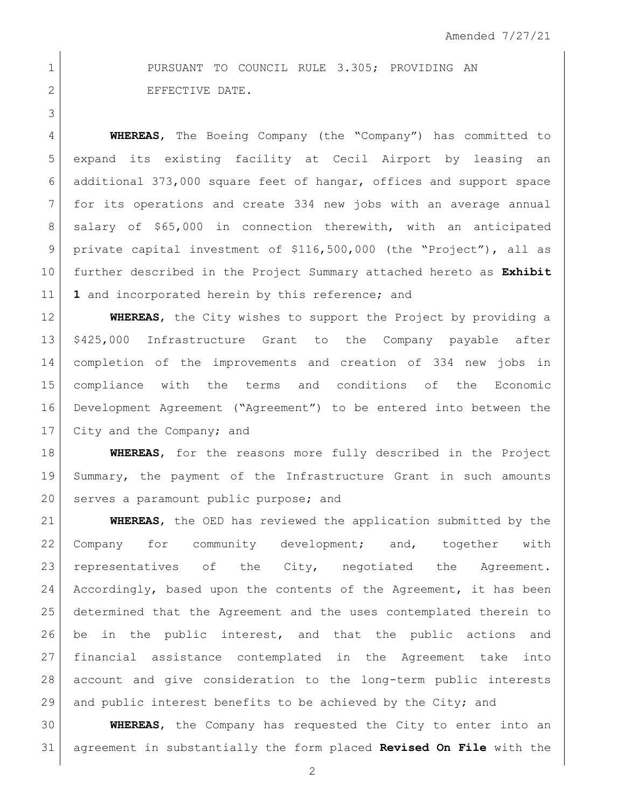1 PURSUANT TO COUNCIL RULE 3.305; PROVIDING AN 2 EFFECTIVE DATE.

 **WHEREAS**, The Boeing Company (the "Company") has committed to expand its existing facility at Cecil Airport by leasing an additional 373,000 square feet of hangar, offices and support space for its operations and create 334 new jobs with an average annual 8 | salary of \$65,000 in connection therewith, with an anticipated private capital investment of \$116,500,000 (the "Project"), all as further described in the Project Summary attached hereto as **Exhibit 1** and incorporated herein by this reference; and

 **WHEREAS**, the City wishes to support the Project by providing a \$425,000 Infrastructure Grant to the Company payable after completion of the improvements and creation of 334 new jobs in compliance with the terms and conditions of the Economic Development Agreement ("Agreement") to be entered into between the 17 City and the Company; and

 **WHEREAS**, for the reasons more fully described in the Project Summary, the payment of the Infrastructure Grant in such amounts 20 serves a paramount public purpose; and

 **WHEREAS**, the OED has reviewed the application submitted by the 22 Company for community development; and, together with 23 representatives of the City, negotiated the Agreement. 24 Accordingly, based upon the contents of the Agreement, it has been determined that the Agreement and the uses contemplated therein to 26 be in the public interest, and that the public actions and financial assistance contemplated in the Agreement take into account and give consideration to the long-term public interests and public interest benefits to be achieved by the City; and

 **WHEREAS**, the Company has requested the City to enter into an agreement in substantially the form placed **Revised On File** with the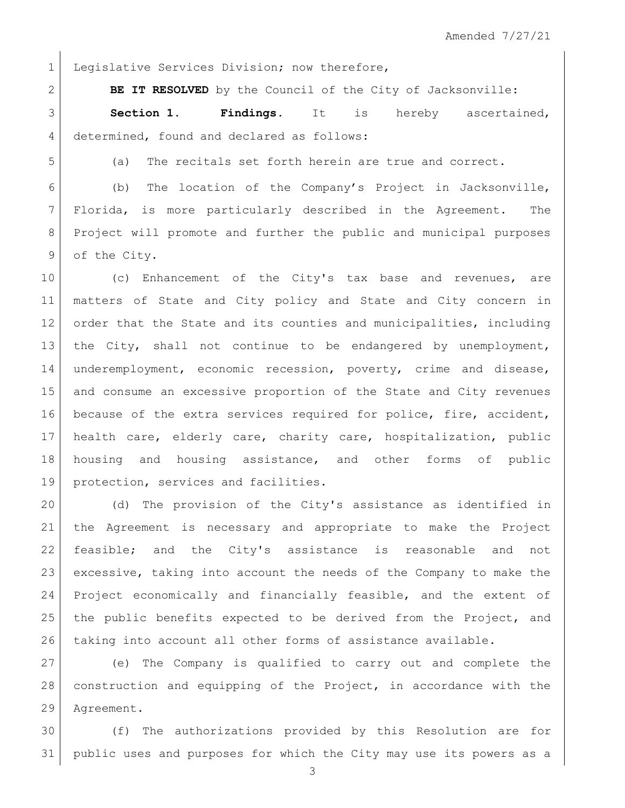1 Legislative Services Division; now therefore,

**BE IT RESOLVED** by the Council of the City of Jacksonville:

 **Section 1. Findings.** It is hereby ascertained, 4 determined, found and declared as follows:

(a) The recitals set forth herein are true and correct.

 (b) The location of the Company's Project in Jacksonville, Florida, is more particularly described in the Agreement. The Project will promote and further the public and municipal purposes 9 of the City.

10 (c) Enhancement of the City's tax base and revenues, are matters of State and City policy and State and City concern in 12 order that the State and its counties and municipalities, including the City, shall not continue to be endangered by unemployment, underemployment, economic recession, poverty, crime and disease, and consume an excessive proportion of the State and City revenues because of the extra services required for police, fire, accident, health care, elderly care, charity care, hospitalization, public housing and housing assistance, and other forms of public protection, services and facilities.

20 (d) The provision of the City's assistance as identified in the Agreement is necessary and appropriate to make the Project feasible; and the City's assistance is reasonable and not excessive, taking into account the needs of the Company to make the Project economically and financially feasible, and the extent of 25 | the public benefits expected to be derived from the Project, and taking into account all other forms of assistance available.

 (e) The Company is qualified to carry out and complete the construction and equipping of the Project, in accordance with the Agreement.

 (f) The authorizations provided by this Resolution are for public uses and purposes for which the City may use its powers as a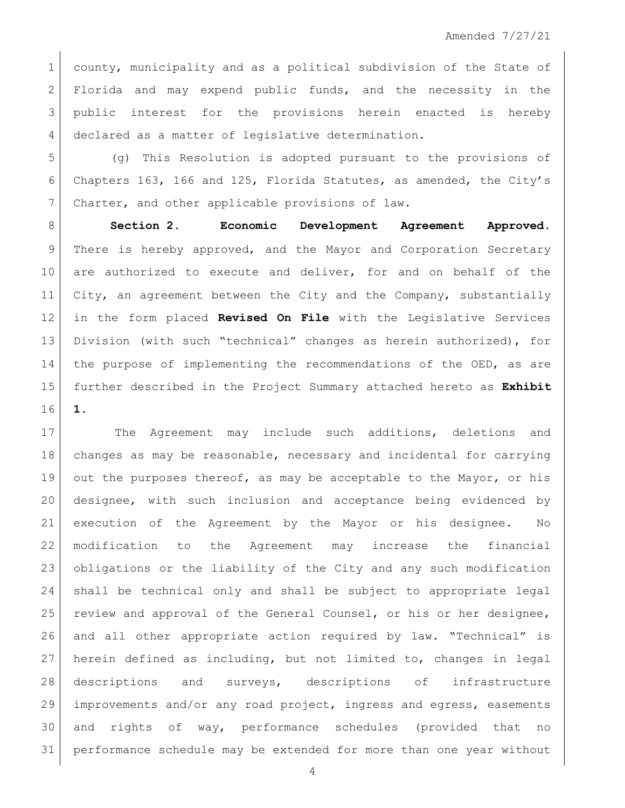1 county, municipality and as a political subdivision of the State of 2 Florida and may expend public funds, and the necessity in the 3 public interest for the provisions herein enacted is hereby declared as a matter of legislative determination.

 (g) This Resolution is adopted pursuant to the provisions of Chapters 163, 166 and 125, Florida Statutes, as amended, the City's 7 Charter, and other applicable provisions of law.

 **Section 2. Economic Development Agreement Approved.** There is hereby approved, and the Mayor and Corporation Secretary 10 are authorized to execute and deliver, for and on behalf of the City, an agreement between the City and the Company, substantially in the form placed **Revised On File** with the Legislative Services Division (with such "technical" changes as herein authorized), for the purpose of implementing the recommendations of the OED, as are further described in the Project Summary attached hereto as **Exhibit 1**.

17 The Agreement may include such additions, deletions and changes as may be reasonable, necessary and incidental for carrying out the purposes thereof, as may be acceptable to the Mayor, or his designee, with such inclusion and acceptance being evidenced by execution of the Agreement by the Mayor or his designee. No modification to the Agreement may increase the financial obligations or the liability of the City and any such modification shall be technical only and shall be subject to appropriate legal 25 | review and approval of the General Counsel, or his or her designee, and all other appropriate action required by law. "Technical" is herein defined as including, but not limited to, changes in legal descriptions and surveys, descriptions of infrastructure improvements and/or any road project, ingress and egress, easements and rights of way, performance schedules (provided that no performance schedule may be extended for more than one year without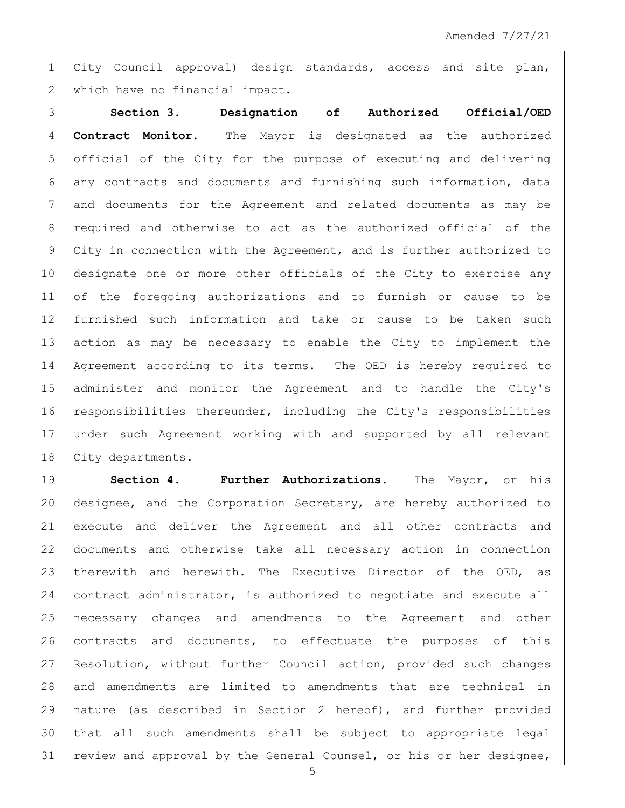City Council approval) design standards, access and site plan, 2 which have no financial impact.

 **Section 3. Designation of Authorized Official/OED Contract Monitor.** The Mayor is designated as the authorized official of the City for the purpose of executing and delivering any contracts and documents and furnishing such information, data and documents for the Agreement and related documents as may be required and otherwise to act as the authorized official of the City in connection with the Agreement, and is further authorized to designate one or more other officials of the City to exercise any of the foregoing authorizations and to furnish or cause to be furnished such information and take or cause to be taken such action as may be necessary to enable the City to implement the Agreement according to its terms. The OED is hereby required to administer and monitor the Agreement and to handle the City's responsibilities thereunder, including the City's responsibilities under such Agreement working with and supported by all relevant 18 City departments.

 **Section 4. Further Authorizations.** The Mayor, or his designee, and the Corporation Secretary, are hereby authorized to execute and deliver the Agreement and all other contracts and documents and otherwise take all necessary action in connection 23 | therewith and herewith. The Executive Director of the OED, as 24 contract administrator, is authorized to negotiate and execute all necessary changes and amendments to the Agreement and other contracts and documents, to effectuate the purposes of this Resolution, without further Council action, provided such changes and amendments are limited to amendments that are technical in nature (as described in Section 2 hereof), and further provided that all such amendments shall be subject to appropriate legal 31 review and approval by the General Counsel, or his or her designee,